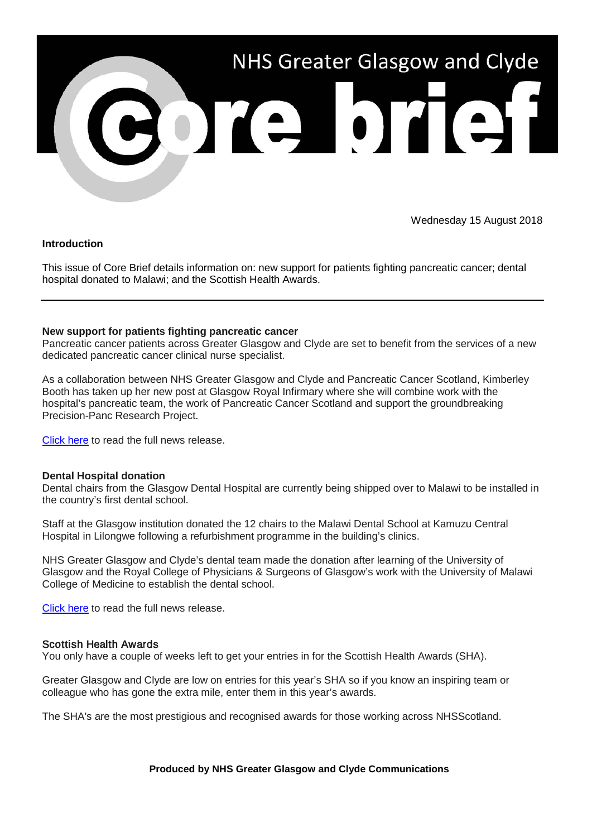

Wednesday 15 August 2018

# **Introduction**

This issue of Core Brief details information on: new support for patients fighting pancreatic cancer; dental hospital donated to Malawi; and the Scottish Health Awards.

# **New support for patients fighting pancreatic cancer**

Pancreatic cancer patients across Greater Glasgow and Clyde are set to benefit from the services of a new dedicated pancreatic cancer clinical nurse specialist.

As a collaboration between NHS Greater Glasgow and Clyde and Pancreatic Cancer Scotland, Kimberley Booth has taken up her new post at Glasgow Royal Infirmary where she will combine work with the hospital's pancreatic team, the work of Pancreatic Cancer Scotland and support the groundbreaking Precision-Panc Research Project.

[Click here](http://www.nhsggc.org.uk/about-us/media-centre/news/2018/08/pancreatic-cancer-support/?utm_source=Core_Brief&utm_medium=email&utm_campaign=NR_Pancreatic_Cancer) to read the full news release.

## **Dental Hospital donation**

Dental chairs from the Glasgow Dental Hospital are currently being shipped over to Malawi to be installed in the country's first dental school.

Staff at the Glasgow institution donated the 12 chairs to the Malawi Dental School at Kamuzu Central Hospital in Lilongwe following a refurbishment programme in the building's clinics.

NHS Greater Glasgow and Clyde's dental team made the donation after learning of the University of Glasgow and the Royal College of Physicians & Surgeons of Glasgow's work with the University of Malawi College of Medicine to establish the dental school.

[Click here](http://www.nhsggc.org.uk/about-us/media-centre/news/2018/08/dental-hospital-malawi-donation/?utm_source=Core_Brief&utm_medium=email&utm_campaign=NR_dental_donation) to read the full news release.

## Scottish Health Awards

You only have a couple of weeks left to get your entries in for the Scottish Health Awards (SHA).

Greater Glasgow and Clyde are low on entries for this year's SHA so if you know an inspiring team or colleague who has gone the extra mile, enter them in this year's awards.

The SHA's are the most prestigious and recognised awards for those working across NHSScotland.

## **Produced by NHS Greater Glasgow and Clyde Communications**